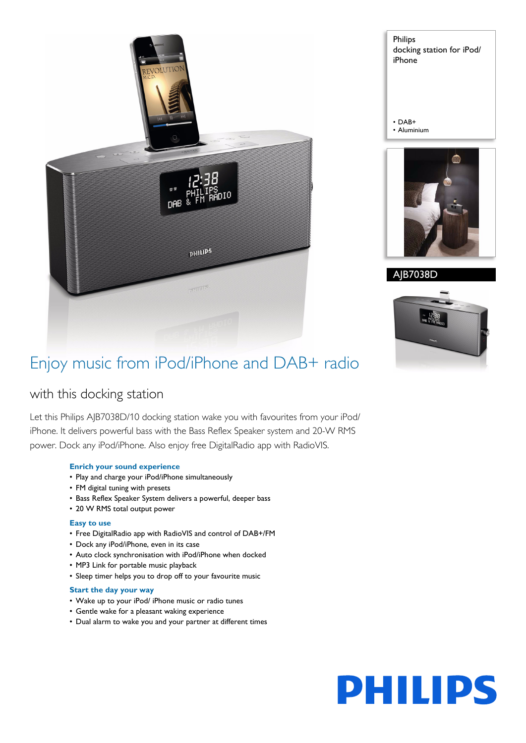

Philips docking station for iPod/ iPhone

• DAB+ • Aluminium



AJB7038D



# Enjoy music from iPod/iPhone and DAB+ radio

# with this docking station

Let this Philips AJB7038D/10 docking station wake you with favourites from your iPod/ iPhone. It delivers powerful bass with the Bass Reflex Speaker system and 20-W RMS power. Dock any iPod/iPhone. Also enjoy free DigitalRadio app with RadioVIS.

# **Enrich your sound experience**

- Play and charge your iPod/iPhone simultaneously
- FM digital tuning with presets
- Bass Reflex Speaker System delivers a powerful, deeper bass
- 20 W RMS total output power

# **Easy to use**

- Free DigitalRadio app with RadioVIS and control of DAB+/FM
- Dock any iPod/iPhone, even in its case
- Auto clock synchronisation with iPod/iPhone when docked
- MP3 Link for portable music playback
- Sleep timer helps you to drop off to your favourite music

## **Start the day your way**

- Wake up to your iPod/ iPhone music or radio tunes
- Gentle wake for a pleasant waking experience
- Dual alarm to wake you and your partner at different times

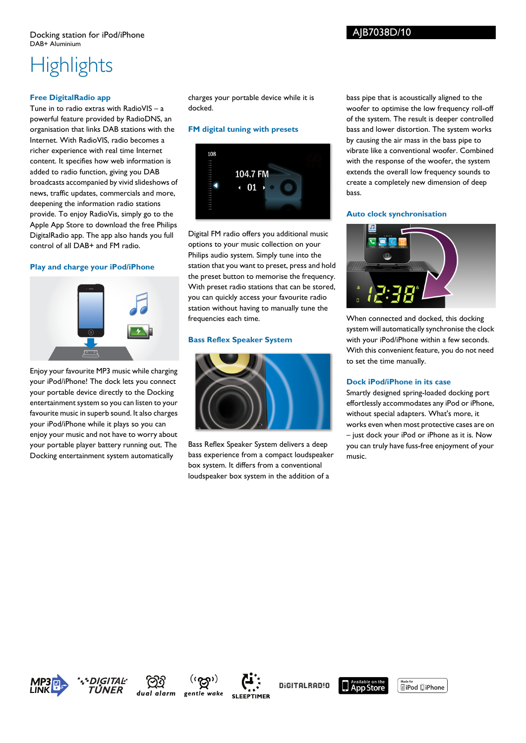# AJB7038D/10

# **Highlights**

# **Free DigitalRadio app**

Tune in to radio extras with RadioVIS – a powerful feature provided by RadioDNS, an organisation that links DAB stations with the Internet. With RadioVIS, radio becomes a richer experience with real time Internet content. It specifies how web information is added to radio function, giving you DAB broadcasts accompanied by vivid slideshows of news, traffic updates, commercials and more, deepening the information radio stations provide. To enjoy RadioVis, simply go to the Apple App Store to download the free Philips DigitalRadio app. The app also hands you full control of all DAB+ and FM radio.

## **Play and charge your iPod/iPhone**



Enjoy your favourite MP3 music while charging your iPod/iPhone! The dock lets you connect your portable device directly to the Docking entertainment system so you can listen to your favourite music in superb sound. It also charges your iPod/iPhone while it plays so you can enjoy your music and not have to worry about your portable player battery running out. The Docking entertainment system automatically

charges your portable device while it is docked.

# **FM digital tuning with presets**



Digital FM radio offers you additional music options to your music collection on your Philips audio system. Simply tune into the station that you want to preset, press and hold the preset button to memorise the frequency. With preset radio stations that can be stored, you can quickly access your favourite radio station without having to manually tune the frequencies each time.

## **Bass Reflex Speaker System**



Bass Reflex Speaker System delivers a deep bass experience from a compact loudspeaker box system. It differs from a conventional loudspeaker box system in the addition of a

bass pipe that is acoustically aligned to the woofer to optimise the low frequency roll-off of the system. The result is deeper controlled bass and lower distortion. The system works by causing the air mass in the bass pipe to vibrate like a conventional woofer. Combined with the response of the woofer, the system extends the overall low frequency sounds to create a completely new dimension of deep bass.

## **Auto clock synchronisation**



When connected and docked, this docking system will automatically synchronise the clock with your iPod/iPhone within a few seconds. With this convenient feature, you do not need to set the time manually.

## **Dock iPod/iPhone in its case**

Smartly designed spring-loaded docking port effortlessly accommodates any iPod or iPhone, without special adapters. What's more, it works even when most protective cases are on – just dock your iPod or iPhone as it is. Now you can truly have fuss-free enjoyment of your music.









DIGITALRAD!O



**SiPod** □iPhone